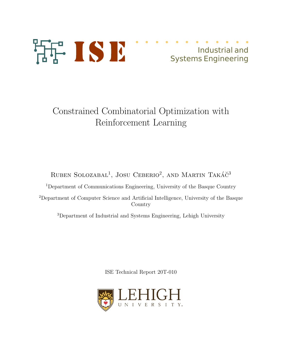

# Constrained Combinatorial Optimization with Reinforcement Learning

# RUBEN SOLOZABAL<sup>1</sup>, JOSU CEBERIO<sup>2</sup>, AND MARTIN TAKÁČ<sup>3</sup>

<sup>1</sup>Department of Communications Engineering, University of the Basque Country

<sup>2</sup>Department of Computer Science and Artificial Intelligence, University of the Basque Country

<sup>3</sup>Department of Industrial and Systems Engineering, Lehigh University

ISE Technical Report 20T-010

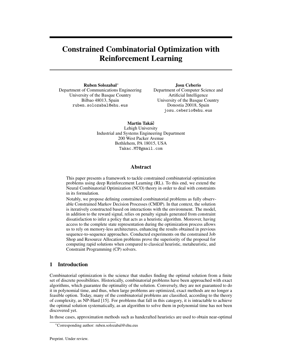# Constrained Combinatorial Optimization with Reinforcement Learning

Ruben Solozabal<sup>∗</sup> Department of Communications Engineering University of the Basque Country Bilbao 48013, Spain ruben.solozabal@ehu.eus

Josu Ceberio Department of Computer Science and Artificial Intelligence University of the Basque Country Donostia 20018, Spain josu.ceberio@ehu.eus

Martin Takáč Lehigh University Industrial and Systems Engineering Department 200 West Packer Avenue Bethlehem, PA 18015, USA Takac.MT@gmail.com

# Abstract

This paper presents a framework to tackle constrained combinatorial optimization problems using deep Reinforcement Learning (RL). To this end, we extend the Neural Combinatorial Optimization (NCO) theory in order to deal with constraints in its formulation.

Notably, we propose defining constrained combinatorial problems as fully observable Constrained Markov Decision Processes (CMDP). In that context, the solution is iteratively constructed based on interactions with the environment. The model, in addition to the reward signal, relies on penalty signals generated from constraint dissatisfaction to infer a policy that acts as a heuristic algorithm. Moreover, having access to the complete state representation during the optimization process allows us to rely on memory-less architectures, enhancing the results obtained in previous sequence-to-sequence approaches. Conducted experiments on the constrained Job Shop and Resource Allocation problems prove the superiority of the proposal for computing rapid solutions when compared to classical heuristic, metaheuristic, and Constraint Programming (CP) solvers.

# 1 Introduction

Combinatorial optimization is the science that studies finding the optimal solution from a finite set of discrete possibilities. Historically, combinatorial problems have been approached with exact algorithms, which guarantee the optimality of the solution. Conversely, they are not guaranteed to do it in polynomial time, and thus, when large problems are optimized, exact methods are no longer a feasible option. Today, many of the combinatorial problems are classified, according to the theory of complexity, as NP-Hard [15]. For problems that fall in this category, it is intractable to achieve the optimal solution systematically, as an algorithm to solve them in polynomial time has not been discovered yet.

In those cases, approximation methods such as handcrafted heuristics are used to obtain near-optimal

<sup>∗</sup>Corresponding author: ruben.solozabal@ehu.eus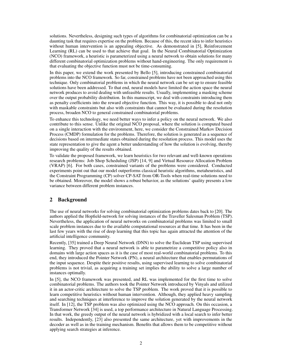solutions. Nevertheless, designing such types of algorithms for combinatorial optimization can be a daunting task that requires expertise on the problem. Because of this, the recent idea to infer heuristics without human intervention is an appealing objective. As demonstrated in [5], Reinforcement Learning (RL) can be used to that achieve that goal. In the Neural Combinatorial Optimization (NCO) framework, a heuristic is parameterized using a neural network to obtain solutions for many different combinatorial optimization problems without hand-engineering. The only requirement is that evaluating the objective function must not be time-consuming.

In this paper, we extend the work presented by Bello [5], introducing constrained combinatorial problems into the NCO framework. So far, constrained problems have not been approached using this technique. Only combinatorial problems in which the neural network can be set up to ensure feasible solutions have been addressed. To that end, neural models have limited the action space the neural network produces to avoid dealing with unfeasible results. Usually, implementing a masking scheme over the output probability distribution. In this manuscript, we deal with constraints introducing them as penalty coefficients into the reward objective function. This way, it is possible to deal not only with maskable constraints but also with constraints that cannot be evaluated during the resolution process, broaden NCO to general constrained combinatorial problems.

To enhance this technology, we need better ways to infer a policy on the neural network. We also contribute to this sense. Unlike the original NCO proposal, where the solution is computed based on a single interaction with the environment, here, we consider the Constrained Markov Decision Process (CMDP) formulation for the problems. Therefore, the solution is generated as a sequence of decisions based on intermediate states obtained during the resolution process. This model uses the state representation to give the agent a better understanding of how the solution is evolving, thereby improving the quality of the results obtained.

To validate the proposed framework, we learn heuristics for two relevant and well-known operations research problems: Job Shop Scheduling (JSP) [14, 9] and Virtual Resource Allocation Problem (VRAP) [6]. For both cases, constrained variants of the problems were considered. Conducted experiments point out that our model outperforms classical heuristic algorithms, metaheuristics, and the Constraint Programming (CP) solver CP-SAT from OR-Tools when real-time solutions need to be obtained. Moreover, the model shows a robust behavior, as the solutions' quality presents a low variance between different problem instances.

# 2 Background

The use of neural networks for solving combinatorial optimization problems dates back to [20]. The authors applied the Hopfield-network for solving instances of the Traveller Salesman Problem (TSP). Nevertheless, the application of neural networks on combinatorial problems was limited to small scale problem instances due to the available computational resources at that time. It has been in the last few years with the rise of deep learning that this topic has again attracted the attention of the artificial intelligence community.

Recently, [35] trained a Deep Neural Network (DNN) to solve the Euclidean TSP using supervised learning. They proved that a neural network is able to parametrize a competitive policy also in domains with large action spaces as it is the case of most real-world combinatorial problems. To this end, they introduced the Pointer Network (PN), a neural architecture that enables permutations of the input sequence. Despite their positive results, using supervised learning to solve combinatorial problems is not trivial, as acquiring a training set implies the ability to solve a large number of instances optimally.

In [5], the NCO framework was presented, and RL was implemented for the first time to solve combinatorial problems. The authors took the Pointer Network introduced by Vinyals and utilized it in an actor-critic architecture to solve the TSP problem. The work proved that it is possible to learn competitive heuristics without human intervention. Although, they applied heavy sampling and searching techniques at interference to improve the solution generated by the neural network itself. In [12], the TSP problem was also optimized using the NCO approach. On this occasion, a Transformer Network [34] is used, a top performance architecture in Natural Language Processing. In that work, the greedy output of the neural network is hybridized with a local search to infer better results. Independently, [23] also presented the same architecture, yet with improvements in the decoder as well as in the training mechanism. Benefits that allows them to be competitive without applying search strategies at inference.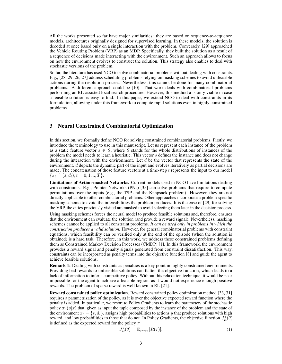All the works presented so far have major similarities: they are based on sequence-to-sequence models, architectures originally designed for supervised learning. In these models, the solution is decoded at once based only on a single interaction with the problem. Conversely, [29] approached the Vehicle Routing Problem (VRP) as an MDP. Specifically, they built the solution as a result of a sequence of decisions made interacting with the environment. Such an approach allows to focus on how the environment evolves to construct the solution. This strategy also enables to deal with stochastic versions of the problem.

So far, the literature has used NCO to solve combinatorial problems without dealing with constraints. E.g., [28, 29, 26, 27] address scheduling problems relying on masking schemes to avoid unfeasible actions during the resolution process. Nevertheless, this cannot be done for many combinatorial problems. A different approach could be [10]. That work deals with combinatorial problems performing an RL-assisted local search procedure. However, this method a is only viable in case a feasible solution is easy to find. In this paper, we extend NCO to deal with constraints in its formulation, allowing under this framework to compute rapid solutions even in highly constrained problems.

## 3 Neural Constrained Combinatorial Optimization

In this section, we formally define NCO for solving constrained combinatorial problems. Firstly, we introduce the terminology to use in this manuscript. Let us represent each instance of the problem as a static feature vector  $s \in S$ , where S stands for the whole distributions of instances of the problem the model needs to learn a heuristic. This vector s defines the instance and does not change during the interaction with the environment. Let  $d$  be the vector that represents the state of the environment. d depicts the dynamic part of the input and evolves iteratively as partial decisions are made. The concatenation of those feature vectors at a time-step  $t$  represents the input to our model  ${ax. \atop x_t \doteq (s, d_t), t = 0, 1, ..., T}.$ 

Limitations of Action-masked Networks. Current models used in NCO have limitations dealing with constraints. E.g., Pointer Networks (PNs) [35] can solve problems that require to compute permutations over the inputs (e.g., the TSP and the Knapsack problem). However, they are not directly applicable to other combinatorial problems. Other approaches incorporate a problem-specific masking scheme to avoid the infeasibilities the problem produces. It is the case of [29] for solving the VRP, the cities previously visited are masked to avoid selecting them later in the decision process.

Using masking schemes forces the neural model to produce feasible solutions and, therefore, ensures that the environment can evaluate the solution (and provide a reward signal). Nevertheless, masking schemes cannot be applied to all constraint problems. *It can be used only in problems in which the construction produces a valid solution.* However, for general combinatorial problems with constraint equations, which feasibility can be verified only at the end of the episode (when the solution is obtained) is a hard task. Therefore, in this work, we address these constrained problems defining them as Constrained Markov Decision Processes (CMDP) [1]. In this framework, the environment provides a reward signal and penalty signals generated from constraint dissatisfaction. This way, constraints can be incorporated as penalty terms into the objective function [8] and guide the agent to achieve feasible solutions.

Remark 1: Dealing with constraints as penalties is a key point in highly constrained environments. Providing bad rewards to unfeasible solutions can flatten the objective function, which leads to a lack of information to infer a competitive policy. Without this relaxation technique, it would be near impossible for the agent to achieve a feasible region, as it would not experience enough positive rewards. The problem of sparse reward is well known in RL [21].

Reward constrained policy optimization. Reward constrained policy optimization method [33, 31] requires a parametrization of the policy, as it is over the objective expected reward function where the penalty is added. In particular, we resort to Policy Gradients to learn the parameters of the stochastic policy  $\pi_{\theta}(y|x)$  that, given as input the tuple composed by the instance of the problem and the state of the environment  $x_t = \{s, d_t\}$ , assigns high probabilities to actions y that produce solutions with high reward, and low probabilities to those that do not. In Policy Gradients, the objective function  $J_R^{\pi}(\theta)$ is defined as the expected reward for the policy  $\pi$ 

$$
J_R^{\pi}(\theta) = \mathbb{E}_{\tau \sim \pi_\theta}[R(\tau)].
$$
\n(1)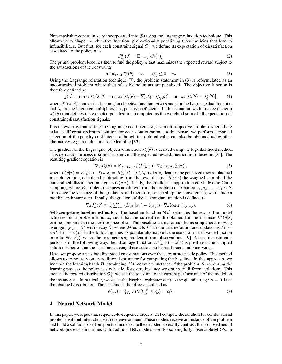Non-maskable constraints are incorporated into (9) using the Lagrange relaxation technique. This allows us to shape the objective function, proportionally penalizing those policies that lead to infeasibilities. But first, for each constraint signal  $C_i$ , we define its expectation of dissatisfaction associated to the policy  $\pi$  as

$$
J_{C_i}^{\pi}(\theta) = \mathbb{E}_{\tau \sim \pi_\theta} [C_i(\tau)]. \tag{2}
$$

The primal problem becomes then to find the policy  $\pi$  that maximizes the expected reward subject to the satisfactions of the constraints

$$
\max_{\pi \sim \Pi} J_R^{\pi}(\theta) \quad \text{s.t.} \quad J_{C_i}^{\pi} \le 0 \quad \forall i. \tag{3}
$$

Using the Lagrange relaxation technique [7], the problem statement in (3) is reformulated as an unconstrained problem where the unfeasible solutions are penalized. The objective function is therefore defined as

$$
g(\lambda) = \max_{\theta} J_L^{\pi}(\lambda, \theta) = \max_{\theta} [J_R^{\pi}(\theta) - \sum_{i} \lambda_i \cdot J_{C_i}^{\pi}(\theta)] = \max_{\theta} [J_R^{\pi}(\theta) - J_{\xi}^{\pi}(\theta)], \quad (4)
$$

where  $J_L^{\pi}(\lambda, \theta)$  denotes the Lagrangian objective function,  $g(\lambda)$  stands for the Lagrange dual function, and  $\lambda_i$  are the Lagrange multipliers, i.e., penalty coefficients. In this equation, we introduce the term  $J_{\xi}^{\pi}(\theta)$  that defines the expected penalization, computed as the weighted sum of all expectation of constraint dissatisfaction signals.

It is noteworthy that setting the Lagrange coefficients  $\lambda_i$  is a multi-objective problem where there exists a different optimum solution for each configuration. In this sense, we perform a manual selection of the penalty coefficients, although the optimal value can also be obtained using other alternatives, e.g., a multi-time scale learning [33].

The gradient of the Lagrangian objective function  $J_L^{\pi}(\theta)$  is derived using the log-likelihood method. This derivation process is similar as deriving the expected reward, method introduced in [36]. The resulting gradient equation is

$$
\nabla_{\theta} J_L^{\pi}(\theta) = \mathbb{E}_{\tau \sim \pi_{\theta}(\cdot | s)} [(L(y|x) \cdot \nabla_{\theta} \log \pi_{\theta}(y|x)], \qquad (5)
$$

where  $L(y|x) = R(y|x) - \xi(y|x) = R(y|x) - \sum_i \lambda_i \cdot C_i(y|x)$  denotes the penalized reward obtained in each iteration, calculated subtracting from the reward signal  $R(y|x)$  the weighed sum of all the constrained dissatisfaction signals  $C(y|x)$ . Lastly, the gradient is approximated via Monte-Carlo sampling, where B problem instances are drawn from the problem distribution  $s_1, s_2, \ldots, s_B \sim S$ . To reduce the variance of the gradients, and therefore, to speed up the convergence, we include a baseline estimator  $b(x)$ . Finally, the gradient of the Lagrangian function is defined as

$$
\nabla_{\theta} J_L^{\pi}(\theta) \approx \frac{1}{B} \sum_{j=1}^B (L(y_j | x_j) - b(x_j)) \cdot \nabla_{\theta} \log \pi_{\theta}(y_j | x_j). \tag{6}
$$

Self-competing baseline estimator. The baseline function  $b(x)$  estimates the reward the model achieves for a problem input x, such that the current result obtained for the instance  $L^{\pi}(y|x)$ can be compared to the performance of  $\pi$ . The baseline estimator can be as simple as a moving average  $b(x) = M$  with decay  $\beta$ , where M equals  $L^{\pi}$  in the first iteration, and updates as  $M \leftarrow$  $\beta M + (1 - \beta)L^{\pi}$  in the following ones. A popular alternative is the use of a learned value function or critic  $\hat{v}(x, \theta_{\nu})$ , where the parameters  $\theta_{\nu}$  are learnt from observations [19]. A baseline estimator performs in the following way, the advantage function  $L^{\pi}(y|x) - b(x)$  is positive if the sampled solution is better that the baseline, causing these actions to be reinforced, and vice-versa.

Here, we propose a new baseline based on estimations over the current stochastic policy. This method allows us to not rely on an additional estimator for computing the baseline. In this approach, we increase the learning batch  $B$  introducing  $N$  times every instance of the problem. Since during the learning process the policy is stochastic, for every instance we obtain  $N$  different solutions. This creates the reward distribution  $Q_j^N$  we use the to estimate the current performance of the model on the instance  $x_j$ . In particular, we select the baseline estimator  $b(x)$  as the quantile (e.g.:  $\alpha = 0.1$ ) of the obtained distribution. The baseline is therefore calculated as

$$
b(x_j) = \{q_j : Pr(Q_j^N \le q_j) = \alpha\}.
$$
 (7)

# 4 Neural Network Model

In this paper, we argue that sequence-to-sequence models [32] compute the solution for combinatorial problems without interacting with the environment. Those models receive an instance of the problem and build a solution based only on the hidden state the decoder stores. By contrast, the proposed neural network presents similarities with traditional RL models used for solving fully observable MDPs. In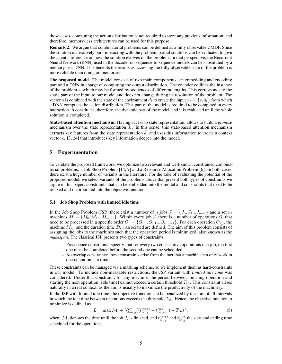those cases, computing the action distribution is not required to store any previous information, and therefore, memory-less architectures can be used for this purpose.

Remark 2: We argue that combinatorial problems can be defined as a fully observable CMDP. Since the solution is iteratively built interacting with the problem, partial solutions can be evaluated to give the agent a reference on how the solution evolves on the problem. In that perspective, the Recurrent Neural Network (RNN) used in the decoder on sequence-to-sequence models can be substituted by a memory-less DNN. This benefits the results as accessing the fully observable state of the problem is more reliable than doing on memories.

The proposed model. The model consists of two main components: an embedding and encoding part and a DNN in charge of computing the output distribution. The encoder codifies the instance of the problem s, which may be formed by sequences of different lengths. This corresponds to the static part of the input to our model and does not change during its resolution of the problem. The vector s is combined with the state of the environment  $d_t$  to create the input  $x_t = \{s, d_t\}$  from which a DNN computes the action distribution. This part of the model is required to be computed in every interaction. It constitutes, therefore, the dynamic part of the model, and it is evaluated until the whole solution is completed.

State-based attention mechanism. Having access to state representation, allows to build a *glimpse* mechanism over the state representation  $d_t$ . In this sense, this state-based attention mechanism extracts key features from the state representation  $d_t$  and uses this information to create a context vector  $c_t$  [3, 24] that introduces key information deeper into the model.

# 5 Experimentation

To validate the proposed framework, we optimize two relevant and well-known constrained combinatorial problems: a Job Shop Problem [14, 9] and a Resource Allocation Problem [6]. In both cases, there exist a huge number of variants in the literature. For the sake of evaluating the potential of the proposed model, we select variants of the problems above that present both types of constraints we argue in this paper: constraints that can be embedded into the model and constraints that need to be relaxed and incorporated into the objective function.

#### 5.1 Job Shop Problem with limited idle time

In the Job Shop Problem (JSP) there exist a number of n jobs  $J = \{J_0, J_1...J_{n-1}\}\$  and a set m machines  $M = \{M_0, M_1...M_{m-1}\}\.$  Within every job  $J_i$  there is a number of operations  $O_i$  that need to be processed in a specific order  $O_i = \{O_{i,0}, O_{i,1}...O_{i,m-1}\}$ . For each operation  $O_{i,j}$ , the machine  $\hat{M}_{i,j}$  and the duration time  $D_{i,j}$  associated are defined. The aim of this problem consists of assigning the jobs to the machines such that the operation period is minimized, also known as the *makespan*. The classical JSP presents two types of constraints:

- Precedence constraints: specify that for every two consecutive operations in a job, the first one must be completed before the second one can be scheduled.
- No overlap constraints: these constraints arise from the fact that a machine can only work in one operation at a time.

These constraints can be managed via a masking scheme, so we implement them as hard-constraints in our model. To include non-maskable restrictions, the JSP variant with *limited idle time* was considered. Under that constraint, for any machine, the period between finishing operation and starting the next operation (idle time) cannot exceed a certain threshold  $T_{th}$ . This constraint arises naturally in a real context, as the aim is usually to maximize the productivity of the machinery.

In the JSP with limited idle time, the objective function can be penalized by the sum of all intervals in which the idle time between operations exceeds the threshold  $T_{th}$ . Hence, the objective function to minimize is defined as

$$
L = \max \mathcal{M}_i + \lambda \sum_{i,j} \left( \left( t_{O_{i,j}}^{start} - t_{O_{i,j-1}}^{end} \right) - T_{th} \right)^+, \tag{8}
$$

where  $\mathcal{M}_i$  denotes the time until the job  $J_i$  is finished, and  $t^{start}_{O_{i,j}}$  and  $t^{end}_{O_{i,j}}$  the start and ending time scheduled for the operations.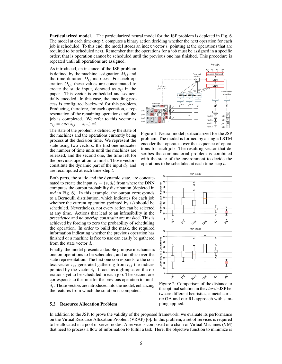Particularized model. The particularized neural model for the JSP problem is depicted in Fig. 6. The model at each time-step  $t$ , computes a binary action deciding whether the next operation for each job is scheduled. To this end, the model stores an index vector  $i_t$  pointing at the operations that are required to be scheduled next. Remember that the operations for a job must be assigned in a specific order; that is operation cannot be scheduled until the previous one has finished. This procedure is repeated until all operations are assigned.

As introduced, an instance of the JSP problem is defined by the machine assignation  $M_{ij}$  and the time duration  $D_{ij}$  matrices. For each operation  $O_{ij}$ , these values are concatenated to create the static input, denoted as  $s_{ij}$  in the paper. This vector is embedded and sequentially encoded. In this case, the encoding process is configured backward for this problem. Producing, therefore, for each operation, a representation of the remaining operations until the job is completed. We refer to this vector as  $e_{ij} = enc(s_{ij}, ..., s_{im}) \,\forall i.$ 

The state of the problem is defined by the state of the machines and the operations currently being process at the decision time. We represent the state using two vectors: the first one indicates the number of time units until the machines are released, and the second one, the time left for the previous operation to finish. Those vectors constitute the dynamic part of the input  $d_t$ , and are recomputed at each time-step t.

Both parts, the static and the dynamic state, are concatenated to create the input  $x_t = (s, d_t)$  from where the DNN computes the output probability distribution (depicted in *red* in Fig. 6). In this example, the output corresponds to a Bernoulli distribution, which indicates for each job whether the current operation (pointed by  $i_t$ ) should be scheduled. Nevertheless, not every action can be selected at any time. Actions that lead to an infeasibility in the *precedence* and *no overlap constraint* are masked. This is achieved by forcing to zero the probability of scheduling the operation. In order to build the mask, the required information indicating whether the previous operation has finished or a machine is free to use can easily be gathered from the state vector  $d_t$ .

Finally, the model presents a double glimpse mechanism: one on operations to be scheduled, and another over the state representation. The first one corresponds to the context vector  $c_t$ , generated gathering from  $e_{ij}$  the indices pointed by the vector  $i_t$ . It acts as a glimpse on the operations yet to be scheduled in each job. The second one corresponds to the time for the previous operation to finish  $\hat{d}_t$ . Those vectors are introduced into the model, enhancing the features from which the solution is computed.

#### 5.2 Resource Allocation Problem



Figure 1: Neural model particularized for the JSP problem. The model is formed by a single LSTM encoder that operates over the sequence of operations for each job. The resulting vector that describes the combinatorial problem is combined with the state of the environment to decide the operations to be scheduled at each time-step t.



Figure 2: Comparison of the distance to the optimal solution in the *classic* JSP between: different heuristics, a metaheuristic GA and our RL approach with sampling applied.

In addition to the JSP, to prove the validity of the proposed framework, we evaluate its performance on the Virtual Resource Allocation Problem (VRAP) [6]. In this problem, a set of services is required to be allocated in a pool of server nodes. A service is composed of a chain of Virtual Machines (VM) that need to process a flow of information to fulfill a task. Here, the objective function to minimize is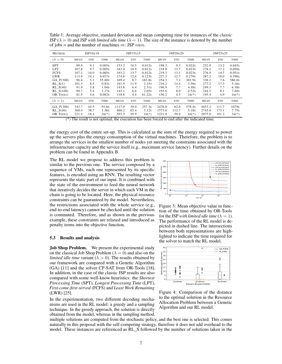Table 1: Average objective, standard deviation and mean computing time for instances of the *classic* JSP ( $\lambda = 0$ ) and JSP *with limited idle time* ( $\lambda = 1$ ). The size of the instance is denoted by the number of jobs  $n$  and the number of machines  $m$ : JSP  $n$ x $m$ .

| <b>METHOD</b>   |       | JSP10x10   |            |        | JSP15x15   |            |        | JSP20x20   |            |                                                                                                                    | JSP25x25   |            |
|-----------------|-------|------------|------------|--------|------------|------------|--------|------------|------------|--------------------------------------------------------------------------------------------------------------------|------------|------------|
| $(\lambda = 0)$ | MEAN  | <b>STD</b> | TIME       | MEAN   | <b>STD</b> | TIME       | MEAN   | <b>STD</b> | TIME       | MEAN                                                                                                               | <b>STD</b> | TIME       |
| <b>SPT</b>      | 99.9  | 9.1        | 0.005s     | 153.2  | 10.5       | 0.012s     | 198.3  | 9.3        | 0.022s     | 252.9                                                                                                              | 13.2       | 0.045s     |
| <b>LPT</b>      | 107.8 | 9.7        | 0.005s     | 163.9  | 10.9       | 0.012s     | 218.8  | 13.7       | 0.023s     | 278.2                                                                                                              | 17.2       | 0.050s     |
| <b>FCFS</b>     | 107.1 | 10.0       | 0.005s     | 163.2  | 13.7       | 0.012s     | 219.3  | 13.1       | 0.023s     | 276.9                                                                                                              | 14.7       | 0.051s     |
| <b>LWR</b>      | 113.9 | 14.1       | 0.037s     | 174.8  | 12.6       | 0.1235     | 227.3  | 12.7       | 0.279s     | 287.2                                                                                                              | 18.0       | 0.598s     |
| GA P(300)       | 96.4  | 5.2        | 55.80s     | 169.4  | 6.7        | 165.8s     | 254.3  | 7.2        | 303.9s     | 338.2                                                                                                              | 7.6        | 586.0s     |
| RL S(1)         | 101.3 | 8.5        | 0.83s      | 161.9  | 11.9       | 2.15s      | 216.2  | 14.4       | 3.56s      | 277.2                                                                                                              | 17.3       | 5.16s      |
| RL S(40)        | 91.9  | 5.8        | 1.04s      | 143.6  | 6.4        | 2.31s      | 196.9  | 7.7        | 4.38s      | 249.3                                                                                                              | 7.7        | 6.38s      |
| RL S(100)       | 90.7  | 5.4        | 1.17s      | 142.1  | 6.6        | 2.65s      | 193.6  | 8.0        | 4.52s      | 244.5                                                                                                              | 8.1        | 7.04s      |
| OR-TOOLS        | 81.5  | 4.6        | 0.082s     | 118.8  | 4.4        | 61.22s     | 156.2  | 4.5        | $1H^{(*)}$ | 195.4                                                                                                              | 4.9        | $1H^{(*)}$ |
| $(\lambda = 1)$ | MEAN  | STD        | TIME       | MEAN   | STD        | TIME       | MEAN   | STD        | TIME       | MEAN                                                                                                               | <b>STD</b> | TIME       |
| GA P(300)       | 343.7 | 45.5       | 91.6s      | 1117.0 | 39.0       | 257.3s     | 2476.0 | 62.6       | 578.4s     | 4453.2                                                                                                             | 111.7      | 1079s      |
| RL S(40)        | 360.4 | 38.7       | 1.36s      | 860.2  | 65.4       | 3.12s      | 1573.0 | 112.7      | 5.18s      | 2745.0                                                                                                             | 173.1      | 7.75s      |
| OR-TOOLS        | 221.4 | 18.4       | $1H^{(*)}$ | 593.5  | 19.9       | $1H^{(*)}$ | 1221.0 | 50.9       | $1H^{(*)}$ | 2075.0<br>$(4)$ The countries are continued the compact on home beam formed to and offered on the displayed three. | 101.2      | $1H^{(*)}$ |

(\*) The result is not optimal, the execution has been forced to end after the indicated time.

the energy cost of the entire set-up. This is calculated as the sum of the energy required to power up the servers plus the energy consumption of the virtual machines. Therefore, the problem is to arrange the services in the smallest number of nodes yet meeting the constraints associated with the infrastructure capacity and the service itself (e.g., maximum service latency). Further details on the problem can be found in Appendix B.

The RL model we propose to address this problem is similar to the previous one. The service composed by a sequence of VMs, each one represented by its specific features, is encoded using an RNN. The resulting vector represents the static part of our input. It is combined with the state of the environment to feed the neural network that iteratively decides the server in which each VM in the chain is going to be located. Here, the physical resource constraints can be guaranteed by the model. Nevertheless, the restrictions associated with the whole service (e.g., end-to-end latency) cannot be checked until the solution is commuted. Therefore, and as shown in the previous example, these constraints are relaxed and introduced as penalty terms into the objective function.

#### 5.3 Results and analysis

Job Shop Problem. We present the experimental study on the classical Job Shop Problem ( $\lambda = 0$ ) and also on the *limited idle time* variant ( $\lambda > 0$ ). The results obtained by our framework are compared with a Genetic Algorithm (GA) [11] and the solver CP-SAT from OR-Tools [18]. In addition, in the case of the classic JSP results are also compared with some well-know heuristics: the *Shortest Processing Time* (SPT), *Longest Processing Time* (LPT), *First-come-first-served* (FCFS) and *Least Work Remaining* (LWR) [25].

In the experimentation, two different decoding mechanisms are used in the RL model: a greedy and a sampling technique. In the greedy approach, the solution is directly obtained from the model, whereas in the sampling method,



Figure 3: Mean objective value in function of the time obtained by OR-Tools for the JSP *with limited idle time*  $(\lambda = 1)$ . The performance of the RL model is depicted in dashed line. The intersections between both representations are highlighted to indicate the time required for the solver to match the RL model.



Figure 4: Comparison of the distance to the optimal solution in the Resource Allocation Problem between a Genetic Algorithm and our RL model.

multiple solutions are computed from the stochastic policy, and the best one is selected. This comes naturally in this proposal with the self-competing strategy, therefore it does not add overhead to the model. These instances are referenced as RL\_S followed by the number of solutions taken in the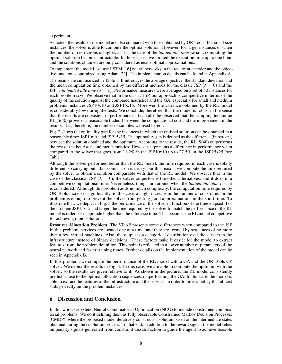#### experiment.

As noted, the results of the model are also compared with those obtained by OR-Tools. For small size instances, the solver is able to compute the optimal solution. However, for larger instances or when the number of restrictions is higher, as it is the case of the *limited idle time* variant, computing the optimal solution becomes intractable. In those cases, we limited the execution time up to one hour, and the solutions obtained are only considered as near-optimal approximations.

To implement the model, we use LSTM [16] neural networks in the recurrent encoder and the objective function is optimized using Adam [22]. The implementation details can be found in Appendix A.

The results are summarized in Table 1. It introduces the average objective, the standard deviation and the mean computation time obtained by the different methods for the classic JSP ( $\lambda = 0$ ) and the JSP *with limited idle time*  $(\lambda = 1)$ . Performance measures were averaged on a set of 50 instances for each problem size. We observe that in the classic JSP, our approach is competitive in terms of the quality of the solution against the compared heuristics and the GA, especially for small and medium problems instances JSP10x10 and JSP15x15. Moreover, the variance obtained by the RL model is considerably low during the tests. We conclude, therefore, that the model is robust in the sense that the results are consistent in performance. It can also be observed that the sampling technique RL\_S(40) provides a reasonable tradeoff between the computational cost and the improvement in the results. It is, therefore, the number of samples we used hereof.

Fig. 2 shows the optimality gap for the instances in which the optimal solution can be obtained in a reasonable time: JSP10x10 and JSP15x15. The optimality gap is defined as the difference (in percent) between the solution obtained and the optimum. According to the results, the RL\_S(40) outperforms the rest of the heuristics and metaheuristics. However, it presents a difference in performance when compared to the solver that goes from 11.2% in the JSP10x10 up to 27.5% in the JSP25x25 (see Table 1).

Although the solver performed better than the RL model, the time required in each case is totally different, so carrying out a fair comparison is tricky. For this reason, we compute the time required by the solver to obtain a solution comparable with that of the RL model. We observe that in the case of the classical JSP ( $\lambda = 0$ ), the solver outperforms the other alternatives, and it does in a competitive computational time. Nevertheless, things turn around when the *limited idle time* variant is considered. Although this problem adds no much complexity, the computation time required by OR-Tools increases significantly, in this case, a slight increase in the number of constraints in the problem is enough to prevent the solver from getting good approximations in the short time. To illustrate that, we depict in Fig. 3 the performance of the solver in function of the time elapsed. For the problem JSP15x15 and larger, the time required by the solver to match the performance of the RL model is orders of magnitude higher than the inference time. This becomes the RL model competitive for achieving rapid solutions.

Resource Allocation Problem. The VRAP presents some differences when compared to the JSP. In this problem, services are located one at a time, and they are formed by sequences of no more than a few virtual machines. Also, the output is a categorical distribution over the servers in the infrastructure instead of binary decisions. These factors make it easier for the model to extract features from the problem definition. This point is reflected in a lower number of parameters of the neural network and faster training times. Further details on the implementation of the model can be seen in Appendix B.

In this problem, we compare the performance of the RL model with a GA and the OR-Tools CP solver. We depict the results in Fig. 4. In this case, we are able to compute the optimum with the solver, so the results are given relative to it. As shown in the picture, the RL model consistently predicts close to the optimal allocation sequences, outperforming the GA. In this case, the model is able to extract the features of the infrastructure and the services in order to infer a policy that almost suits perfectly on the problem instances.

# 6 Discussion and Conclusion

In this work, we extend Neural Combinatorial Optimization (NCO) to include constrained combinatorial problems. We do it defining them as fully observable Constrained Markov Decision Processes (CMDP), where the proposed model iteratively constructs a solution based on the intermediate states obtained during the resolution process. To that end, in addition to the reward signal, the model relies on penalty signals generated from constraint dissatisfaction to guide the agent to achieve feasible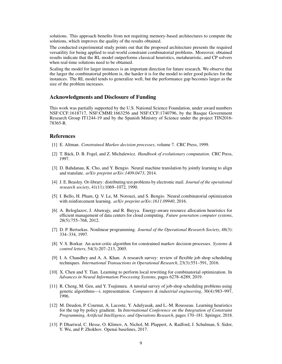solutions. This approach benefits from not requiring memory-based architectures to compute the solutions, which improves the quality of the results obtained.

The conducted experimental study points out that the proposed architecture presents the required versatility for being applied to real-world constraint combinatorial problems. Moreover, obtained results indicate that the RL model outperforms classical heuristics, metaheuristic, and CP solvers when real-time solutions need to be obtained.

Scaling the model for larger instances is an important direction for future research. We observe that the larger the combinatorial problem is, the harder it is for the model to infer good policies for the instances. The RL model tends to generalize well, but the performance gap becomes larger as the size of the problem increases.

#### Acknowledgments and Disclosure of Funding

This work was partially supported by the U.S. National Science Foundation, under award numbers NSF:CCF:1618717, NSF:CMMI:1663256 and NSF:CCF:1740796, by the Basque Government Research Group IT1244-19 and by the Spanish Ministry of Science under the project TIN2016- 78365-R.

# **References**

- [1] E. Altman. *Constrained Markov decision processes*, volume 7. CRC Press, 1999.
- [2] T. Bäck, D. B. Fogel, and Z. Michalewicz. *Handbook of evolutionary computation*. CRC Press, 1997.
- [3] D. Bahdanau, K. Cho, and Y. Bengio. Neural machine translation by jointly learning to align and translate. *arXiv preprint arXiv:1409.0473*, 2014.
- [4] J. E. Beasley. Or-library: distributing test problems by electronic mail. *Journal of the operational research society*, 41(11):1069–1072, 1990.
- [5] I. Bello, H. Pham, Q. V. Le, M. Norouzi, and S. Bengio. Neural combinatorial optimization with reinforcement learning. *arXiv preprint arXiv:1611.09940*, 2016.
- [6] A. Beloglazov, J. Abawajy, and R. Buyya. Energy-aware resource allocation heuristics for efficient management of data centers for cloud computing. *Future generation computer systems*, 28(5):755–768, 2012.
- [7] D. P. Bertsekas. Nonlinear programming. *Journal of the Operational Research Society*, 48(3): 334–334, 1997.
- [8] V. S. Borkar. An actor-critic algorithm for constrained markov decision processes. *Systems & control letters*, 54(3):207–213, 2005.
- [9] I. A. Chaudhry and A. A. Khan. A research survey: review of flexible job shop scheduling techniques. *International Transactions in Operational Research*, 23(3):551–591, 2016.
- [10] X. Chen and Y. Tian. Learning to perform local rewriting for combinatorial optimization. In *Advances in Neural Information Processing Systems*, pages 6278–6289, 2019.
- [11] R. Cheng, M. Gen, and Y. Tsujimura. A tutorial survey of job-shop scheduling problems using genetic algorithms—i. representation. *Computers & industrial engineering*, 30(4):983–997, 1996.
- [12] M. Deudon, P. Cournut, A. Lacoste, Y. Adulyasak, and L.-M. Rousseau. Learning heuristics for the tsp by policy gradient. In *International Conference on the Integration of Constraint Programming, Artificial Intelligence, and Operations Research*, pages 170–181. Springer, 2018.
- [13] P. Dhariwal, C. Hesse, O. Klimov, A. Nichol, M. Plappert, A. Radford, J. Schulman, S. Sidor, Y. Wu, and P. Zhokhov. Openai baselines, 2017.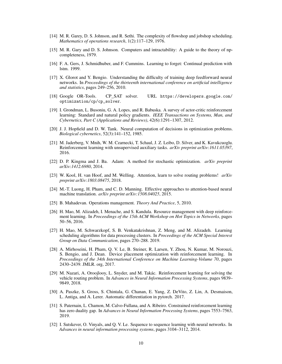- [14] M. R. Garey, D. S. Johnson, and R. Sethi. The complexity of flowshop and jobshop scheduling. *Mathematics of operations research*, 1(2):117–129, 1976.
- [15] M. R. Gary and D. S. Johnson. Computers and intractability: A guide to the theory of npcompleteness, 1979.
- [16] F. A. Gers, J. Schmidhuber, and F. Cummins. Learning to forget: Continual prediction with lstm. 1999.
- [17] X. Glorot and Y. Bengio. Understanding the difficulty of training deep feedforward neural networks. In *Proceedings of the thirteenth international conference on artificial intelligence and statistics*, pages 249–256, 2010.
- [18] Google OR-Tools. CP\_SAT solver. URL https://developers.google.com/ optimization/cp/cp\_solver.
- [19] I. Grondman, L. Busoniu, G. A. Lopes, and R. Babuska. A survey of actor-critic reinforcement learning: Standard and natural policy gradients. *IEEE Transactions on Systems, Man, and Cybernetics, Part C (Applications and Reviews)*, 42(6):1291–1307, 2012.
- [20] J. J. Hopfield and D. W. Tank. Neural computation of decisions in optimization problems. *Biological cybernetics*, 52(3):141–152, 1985.
- [21] M. Jaderberg, V. Mnih, W. M. Czarnecki, T. Schaul, J. Z. Leibo, D. Silver, and K. Kavukcuoglu. Reinforcement learning with unsupervised auxiliary tasks. *arXiv preprint arXiv:1611.05397*, 2016.
- [22] D. P. Kingma and J. Ba. Adam: A method for stochastic optimization. *arXiv preprint arXiv:1412.6980*, 2014.
- [23] W. Kool, H. van Hoof, and M. Welling. Attention, learn to solve routing problems! *arXiv preprint arXiv:1803.08475*, 2018.
- [24] M.-T. Luong, H. Pham, and C. D. Manning. Effective approaches to attention-based neural machine translation. *arXiv preprint arXiv:1508.04025*, 2015.
- [25] B. Mahadevan. Operations management. *Theory And Practice*, 5, 2010.
- [26] H. Mao, M. Alizadeh, I. Menache, and S. Kandula. Resource management with deep reinforcement learning. In *Proceedings of the 15th ACM Workshop on Hot Topics in Networks*, pages 50–56, 2016.
- [27] H. Mao, M. Schwarzkopf, S. B. Venkatakrishnan, Z. Meng, and M. Alizadeh. Learning scheduling algorithms for data processing clusters. In *Proceedings of the ACM Special Interest Group on Data Communication*, pages 270–288. 2019.
- [28] A. Mirhoseini, H. Pham, Q. V. Le, B. Steiner, R. Larsen, Y. Zhou, N. Kumar, M. Norouzi, S. Bengio, and J. Dean. Device placement optimization with reinforcement learning. In *Proceedings of the 34th International Conference on Machine Learning-Volume 70*, pages 2430–2439. JMLR. org, 2017.
- [29] M. Nazari, A. Oroojlooy, L. Snyder, and M. Takác. Reinforcement learning for solving the vehicle routing problem. In *Advances in Neural Information Processing Systems*, pages 9839– 9849, 2018.
- [30] A. Paszke, S. Gross, S. Chintala, G. Chanan, E. Yang, Z. DeVito, Z. Lin, A. Desmaison, L. Antiga, and A. Lerer. Automatic differentiation in pytorch. 2017.
- [31] S. Paternain, L. Chamon, M. Calvo-Fullana, and A. Ribeiro. Constrained reinforcement learning has zero duality gap. In *Advances in Neural Information Processing Systems*, pages 7553–7563, 2019.
- [32] I. Sutskever, O. Vinyals, and Q. V. Le. Sequence to sequence learning with neural networks. In *Advances in neural information processing systems*, pages 3104–3112, 2014.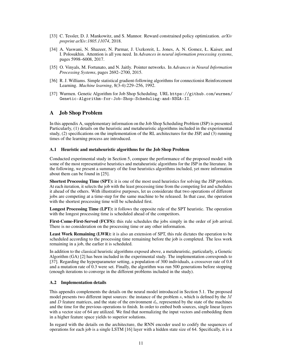- [33] C. Tessler, D. J. Mankowitz, and S. Mannor. Reward constrained policy optimization. *arXiv preprint arXiv:1805.11074*, 2018.
- [34] A. Vaswani, N. Shazeer, N. Parmar, J. Uszkoreit, L. Jones, A. N. Gomez, Ł. Kaiser, and I. Polosukhin. Attention is all you need. In *Advances in neural information processing systems*, pages 5998–6008, 2017.
- [35] O. Vinyals, M. Fortunato, and N. Jaitly. Pointer networks. In *Advances in Neural Information Processing Systems*, pages 2692–2700, 2015.
- [36] R. J. Williams. Simple statistical gradient-following algorithms for connectionist Reinforcement Learning. *Machine learning*, 8(3-4):229–256, 1992.
- [37] Wurmen. Genetic Algorithm for Job Shop Scheduling. URL https://github.com/wurmen/ Genetic-Algorithm-for-Job-Shop-Scheduling-and-NSGA-II.

#### A Job Shop Problem

In this appendix A, supplementary information on the Job Shop Scheduling Problem (JSP) is presented. Particularly, (1) details on the heuristic and metaheuristic algorithms included in the experimental study, (2) specifications on the implementation of the RL architectures for the JSP, and (3) running times of the learning process are introduced.

#### A.1 Heuristic and metaheuristic algorithms for the Job Shop Problem

Conducted experimental study in Section 5, compare the performance of the proposed model with some of the most representative heuristics and metaheuristic algorithms for the JSP in the literature. In the following, we present a summary of the four heuristics algorithms included, yet more information about them can be found in [25].

Shortest Processing Time (SPT): it is one of the most used heuristics for solving the JSP problem. At each iteration, it selects the job with the least processing time from the competing list and schedules it ahead of the others. With illustrative purposes, let us considerate that two operations of different jobs are competing at a time-step for the same machine to be released. In that case, the operation with the shortest processing time will be scheduled first.

Longest Processing Time (LPT): it follows the opposite rule of the SPT heuristic. The operation with the longest processing time is scheduled ahead of the competitors.

First-Come-First-Served (FCFS): this rule schedules the jobs simply in the order of job arrival. There is no consideration on the processing time or any other information.

Least Work Remaining (LWR): it is also an extension of SPT, this rule dictates the operation to be scheduled according to the processing time remaining before the job is completed. The less work remaining in a job, the earlier it is scheduled.

In addition to the classical heuristic algorithms exposed above, a metaheuristic, particularly, a Genetic Algorithm (GA) [2] has been included in the experimental study. The implementation corresponds to [37]. Regarding the hyperparameter setting, a population of 300 individuals, a crossover rate of 0.8 and a mutation rate of 0.3 were set. Finally, the algorithm was run 500 generations before stopping (enough iterations to converge in the different problems included in the study).

#### A.2 Implementation details

This appendix complements the details on the neural model introduced in Section 5.1. The proposed model presents two different input sources: the instance of the problem  $s$ , which is defined by the  $M$ and D feature matrices, and the state of the environment  $d_t$ , represented by the state of the machines and the time for the previous operations to finish. In order to embed both sources, single linear layers with a vector size of 64 are utilized. We find that normalizing the input vectors and embedding them in a higher feature space yields to superior solutions.

In regard with the details on the architecture, the RNN encoder used to codify the sequences of operations for each job is a single LSTM [16] layer with a hidden state size of 64. Specifically, it is a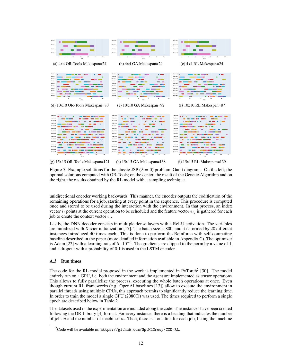

(g) 15x15 OR-Tools Makespan=121 (h) 15x15 GA Makespan=168 (i) 15x15 RL Makespan=139

Figure 5: Example solutions for the classic JSP ( $\lambda = 0$ ) problem, Gantt diagrams. On the left, the optimal solutions computed with OR-Tools; on the center, the result of the Genetic Algorithm and on the right, the results obtained by the RL model with a sampling technique.

unidirectional encoder working backwards. This manner, the encoder outputs the codification of the remaining operations for a job, starting at every point in the sequence. This procedure is computed once and stored to be used during the interaction with the environment. In that process, an index vector  $i_t$  points at the current operation to be scheduled and the feature vector  $e_{ij}$  is gathered for each job to create the context vector  $c_t$ .

Lastly, the DNN decoder consists in multiple dense layers with a ReLU activation. The variables are initialized with Xavier initialization [17]. The batch size is 800, and it is formed by 20 different instances introduced 40 times each. This is done to perform the Reinforce with self-competing baseline described in the paper (more detailed information available in Appendix C). The optimizer is Adam [22] with a learning rate of  $5 \cdot 10^{-4}$ . The gradients are clipped to the norm by a value of 1, and a dropout with a probability of 0.1 is used in the LSTM encoder.

# A.3 Run times

The code for the RL model proposed in the work is implemented in PyTorch<sup>2</sup> [30]. The model entirely run on a GPU, i.e. both the environment and the agent are implemented as tensor operations. This allows to fully parallelize the process, executing the whole batch operations at once. Even though current RL frameworks (e.g. OpenAI baselines [13]) allow to execute the environment in parallel threads using multiple CPUs, this approach permits to significantly reduce the learning time. In order to train the model a single GPU (2080Ti) was used. The times required to perform a single epoch are described below in Table 2.

The datasets used in the experimentation are included along the code. The instances have been created following the OR-Library [4] format. For every instance, there is a heading that indicates the number of jobs n and the number of machines m. Then, there is a one line for each job, listing the machine

 $^{2}$ Code will be available in: https://github.com/OptMLGroup/CCO-RL.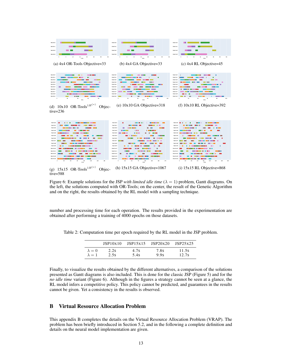

(d)  $10x10$  OR-Tools<sup>1H(\*)</sup> Objective=236

| .<br><b>The first company and many company's</b><br>MachineO                                | <b><i>COMPANY OF LITTLE COMPANY</i></b><br><b>CONTRACTOR</b><br>۰<br>MachineO<br>$\sim$                           | <b>The continued by the contract</b><br><b>CONTRACTOR</b><br>Machine's <b>III</b> II II                                                                                                                                                                                                                       |
|---------------------------------------------------------------------------------------------|-------------------------------------------------------------------------------------------------------------------|---------------------------------------------------------------------------------------------------------------------------------------------------------------------------------------------------------------------------------------------------------------------------------------------------------------|
|                                                                                             |                                                                                                                   |                                                                                                                                                                                                                                                                                                               |
| <b><i><u>BULLER STORES</u></i></b><br>_____<br>--<br>Machine1                               | -------<br>_____<br>Machine1                                                                                      | ------<br><b>BUILD BY</b><br>___<br>Machine1                                                                                                                                                                                                                                                                  |
| -----<br><b><i><u>CONTECT 1999</u></i></b><br>Machine2<br>--                                | <b>BUD 1980</b><br><b>Contract Contract</b><br><b><i>COMMERCIAL</i></b><br>Machine2<br>$\sim$                     | $\mathbf{r}$ and $\mathbf{r}$<br><b><i><u>A COMPOSITION OF BELLEVILLE OF BELLEVILLE OF BELLEVILLE OF BELLEVILLE OF BELLEVILLE OF BELLEVILLE OF BELLEVILLE OF BELLEVILLE OF BELLEVILLE OF BELLEVILLE OF BELLEVILLE OF BELLEVILLE OF BELLEVILLE OF BELLEVILLE OF BELLEV</u></i></b><br>Machine2<br><b>STATE</b> |
| ---<br>--------<br>Machine2<br>. .<br>-                                                     | <b>CONTRACTOR</b><br><b>COMMENT</b><br>Machine2                                                                   | $\sim$<br>-------<br>--<br>Machine2<br>- - -                                                                                                                                                                                                                                                                  |
| ---<br><b>STATISTICS</b><br>Machined                                                        | <b><i><u>A 1999</u></i></b><br><b>COL</b><br><b>STATISTICS</b><br>Machined<br>--                                  | <b>STATISTICS</b><br>--<br>Machined                                                                                                                                                                                                                                                                           |
| --<br>Machineti<br>-                                                                        | <b><i><u>PERMIT</u></i></b><br><b>COMMENT</b><br>Machineti                                                        | m<br>--<br>Machineti<br>--                                                                                                                                                                                                                                                                                    |
| .<br>--<br>Machineti                                                                        | <b><i><u>ALCOHOL COM</u></i></b><br>.<br><b><i><u>ILLESSE</u></i></b><br>Machineti<br>--<br>$\sim$                | $\sim$<br>Machineti<br><b>THEFT</b><br>---<br>$\sim$<br>.                                                                                                                                                                                                                                                     |
| <b><i>COMMENT</i></b><br>Machine?<br><b>Contract</b><br>______<br>. .                       | <b>COMPANY</b><br>------<br>_____<br>Machine?                                                                     | ---<br><b>Contract</b><br>--<br>Machina?<br>--                                                                                                                                                                                                                                                                |
| ________<br>Machined<br>and the second                                                      | <b>Contract Contract</b><br>MachineB<br>--<br>____                                                                | <b><i><u>PERSONAL PROPERTY AND RE-</u></i></b><br>---<br>Machina R                                                                                                                                                                                                                                            |
| <b>COLOR</b><br>_____________<br>Machine9                                                   | ______<br>$\mathbf{r}$<br>Machined<br>. .                                                                         | __________<br><b>Contract</b><br>п.<br>Machineft                                                                                                                                                                                                                                                              |
| --<br>Machine10<br>$\sim$                                                                   | <b>STATISTICS</b><br><b>STATE</b><br><b>STATISTICS</b><br>Machine10                                               | <b><i><u>AMERICAN DI MENSION DI BILI</u></i></b><br>Machine10                                                                                                                                                                                                                                                 |
| <b>PERSONAL PROPERTY</b><br>___________<br>Machine 11<br>$\sim$                             | <b><i><u>BREEZE</u></i></b><br><b><i><u>PERSONAL BIRD</u></i></b><br><b>PERSONAL</b><br>Machine11                 | . .<br>_________<br>$\sim$<br>Machine11<br><b>Contract Contract Contract</b>                                                                                                                                                                                                                                  |
| <b>Contract Contract</b><br>Machine12<br>_____                                              | Machine12<br><b>Contract</b><br><b>College</b>                                                                    | Machine12 <b>Experience</b><br>____<br>____                                                                                                                                                                                                                                                                   |
| <b>PERSONAL PROPERTY AND INCOME.</b><br>Machine13                                           | Machine13<br>. .<br>________________                                                                              | __________________<br>Machine13                                                                                                                                                                                                                                                                               |
| Machine 14<br>__<br>---<br>-----<br>- -                                                     | Machinel 4                                                                                                        | Machineld <b>I Hall</b><br>- 1<br>.<br>___                                                                                                                                                                                                                                                                    |
| $20 -$<br><b>AD</b><br>$60 -$<br>90 <sup>1</sup><br>100<br>120<br>$^{\circ}$<br>140<br>time | 25.<br>50<br>-25.<br>150<br>175<br>100<br>125<br>0 <sup>1</sup><br>time                                           | 20.<br>40 <sup>1</sup><br>$60 -$<br>80<br>140<br>100<br>120<br>0<br>time                                                                                                                                                                                                                                      |
| $\left( \begin{array}{cc} 1 & 1 \end{array} \right)$                                        | $(1)$ $(1)$ $(2)$ $(3)$ $(0)$ $(1)$ $(0)$ $(2)$ $(1)$ $(1)$ $(2)$ $(2)$ $(3)$ $(4)$ $(2)$ $(3)$ $(4)$ $(5)$ $(6)$ |                                                                                                                                                                                                                                                                                                               |

(g)  $15x15 \text{ OR-Tools}^{\{1H^{(*)}\}}$  Objective=588 (h) 15x15 GA Objective=1067 (i) 15x15 RL Objective=868

Figure 6: Example solutions for the JSP *with limited idle time*  $(\lambda = 1)$  problem, Gantt diagrams. On the left, the solutions computed with OR-Tools; on the center, the result of the Genetic Algorithm and on the right, the results obtained by the RL model with a sampling technique.

number and processing time for each operation. The results provided in the experimentation are obtained after performing a training of 4000 epochs on those datasets.

|               | ISP10x10 | JSP15x15 | ISP20x20 | JSP25x25 |
|---------------|----------|----------|----------|----------|
| $\lambda = 0$ | 2.2s     | 4.7s     | 7.8s     | 11.5s    |
| $\lambda = 1$ | 2.5s     | 5.4s     | 9.95     | 12.7s    |

Table 2: Computation time per epoch required by the RL model in the JSP problem.

Finally, to visualize the results obtained by the different alternatives, a comparison of the solutions presented as Gantt diagrams is also included. This is done for the classic JSP (Figure 5) and for the *no idle time* variant (Figure 6). Although in the figures a strategy cannot be seen at a glance, the RL model infers a competitive policy. This policy cannot be predicted, and guarantees in the results cannot be given. Yet a consistency in the results is observed.

# B Virtual Resource Allocation Problem

This appendix B completes the details on the Virtual Resource Allocation Problem (VRAP). The problem has been briefly introduced in Section 5.2, and in the following a complete definition and details on the neural model implementation are given.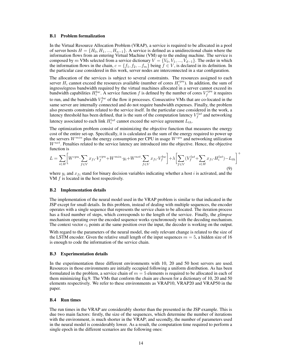#### B.1 Problem formalization

In the Virtual Resource Allocation Problem (VRAP), a service is required to be allocated in a pool of server hosts  $H = \{H_0, H_1, ..., H_{n-1}\}\$ . A service is defined as a unidirectional chain where the information flows from an entering Virtual Machine (VM) up to the ending machine. The service is composed by m VMs selected from a service dictionary  $V = \{V_0, V_1, ..., V_{d-1}\}\.$  The order in which the information flows in the chain,  $c = \{f_1, f_2, ... f_m\}$  being  $f \in V$ , is declared in its definition. In the particular case considered in this work, server nodes are interconnected in a star configuration.

The allocation of the services is subject to several constraints. The resources assigned to each server  $H_i$  cannot exceed the resources available (number of cores  $H_i^{cpu}$ ). In addition, the sum of ingress/egress bandwidth required by the virtual machines allocated in a server cannot exceed its bandwidth capabilities  $H_i^{bw}$ . A service function f is defined by the number of cores  $V_f^{cpu}$  it requires to run, and the bandwidth  $V_f^{bw}$  of the flow it processes. Consecutive VMs that are co-located in the same server are internally connected and do not require bandwidth expenses. Finally, the problem also presents constraints related to the service itself. In the particular case considered in the work, a latency threshold has been defined, that is the sum of the computation latency  $V_f^{lat}$  and networking latency associated to each link  $H_i^{lat}$  cannot exceed the service agreement  $L_{th}$ .

The optimization problem consist of minimizing the objective function that measures the energy cost of the entire set-up. Specifically, it is calculated as the sum of the energy required to power up the servers  $W^{min}$  plus the energy consumption per CPU in usage  $W^{cpu}$  and networking utilization  $W^{net}$ . Penalties related to the service latency are introduced into the objective. Hence, the objective function is

$$
L = \sum_{i \in H} \left[ W^{cpu} \cdot \sum_{f \in V} x_{fi} \cdot V_f^{cpu} + W^{min} \cdot y_i + W^{net} \cdot \sum_{f \in V} x_{fi} \cdot V_f^{bw} \right] + \lambda \left[ \sum_{f \in V} (V_f^{lat} + \sum_{i \in H} x_{fi} \cdot H_i^{lat}) - L_{th} \right]^+
$$
\n(9)

where  $y_i$  and  $x_{fi}$  stand for binary decision variables indicating whether a host i is activated, and the VM  $f$  is located in the host respectively.

#### B.2 Implementation details

The implementation of the neural model used in the VRAP problem is similar to that indicated in the JSP except for small details. In this problem, instead of dealing with multiple sequences, the encoder operates with a single sequence that represents the service chain to be allocated. The iteration process has a fixed number of steps, which corresponds to the length of the service. Finally, the *glimpse* mechanism operating over the encoded sequence works synchronously with the decoding mechanism. The context vector  $c_t$  points at the same position over the input, the decoder is working on the output.

With regard to the parameters of the neural model, the only relevant change is related to the size of the LSTM encoder. Given the relative small length of the input sequences  $m = 5$ , a hidden size of 16 is enough to code the information of the service chain.

#### B.3 Experimentation details

In the experimentation three different environments with 10, 20 and 50 host servers are used. Resources in those environments are initially occupied following a uniform distribution. As has been formulated in the problem, a service chain of  $m = 5$  elements is required to be allocated in each of them minimizing Eq.9. The VMs that conform the chain are chosen for a dictionary of 10, 20 and 50 elements respectively. We refer to these environments as VRAP10, VRAP20 and VRAP50 in the paper.

#### B.4 Run times

The run times in the VRAP are considerably shorter than the presented in the JSP example. This is due two main factors: firstly, the size of the sequences, which determine the number of iterations with the environment, is much shorter in the VRAP; and secondly, the number of parameters used in the neural model is considerably lower. As a result, the computation time required to perform a single epoch in the different scenarios are the following ones: